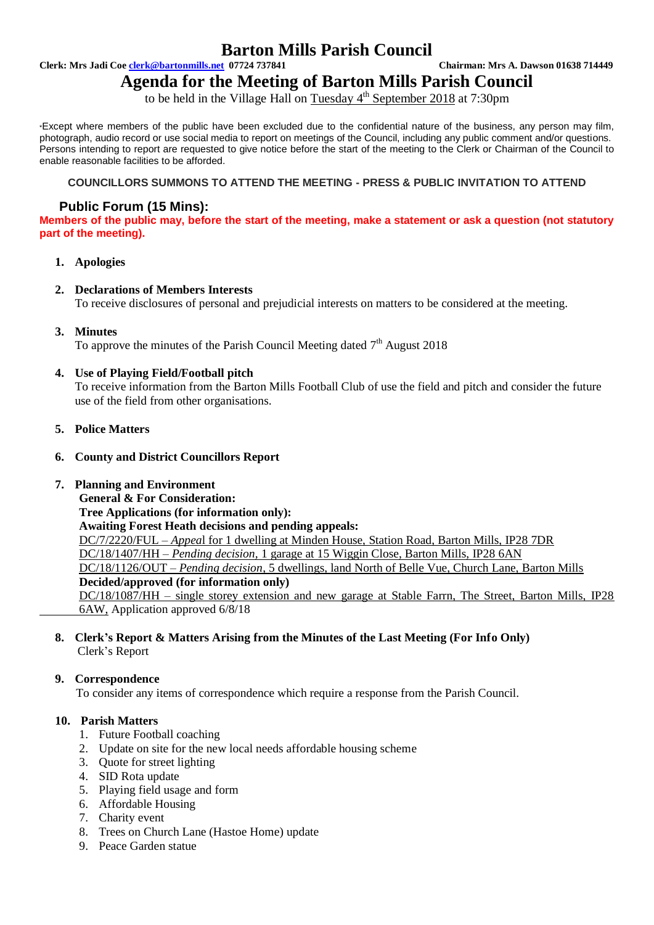## **Barton Mills Parish Council**

**Clerk: Mrs Jadi Coe clerk@bartonmills.net 07724 737841 Chairman: Mrs A. Dawson 01638 714449**

**Agenda for the Meeting of Barton Mills Parish Council** to be held in the Village Hall on Tuesday 4<sup>th</sup> September 2018 at 7:30pm

\*Except where members of the public have been excluded due to the confidential nature of the business, any person may film, photograph, audio record or use social media to report on meetings of the Council, including any public comment and/or questions. Persons intending to report are requested to give notice before the start of the meeting to the Clerk or Chairman of the Council to enable reasonable facilities to be afforded.

### **COUNCILLORS SUMMONS TO ATTEND THE MEETING - PRESS & PUBLIC INVITATION TO ATTEND**

### **Public Forum (15 Mins):**

**Members of the public may, before the start of the meeting, make a statement or ask a question (not statutory part of the meeting).**

- **1. Apologies**
- **2. Declarations of Members Interests** To receive disclosures of personal and prejudicial interests on matters to be considered at the meeting.
- **3. Minutes**

To approve the minutes of the Parish Council Meeting dated  $7<sup>th</sup>$  August 2018

### **4. Use of Playing Field/Football pitch**

To receive information from the Barton Mills Football Club of use the field and pitch and consider the future use of the field from other organisations.

- **5. Police Matters**
- **6. County and District Councillors Report**

### **7. Planning and Environment**

**General & For Consideration:**

**Tree Applications (for information only): Awaiting Forest Heath decisions and pending appeals:** DC/7/2220/FUL – *Appea*l for 1 dwelling at Minden House, Station Road, Barton Mills, IP28 7DR DC/18/1407/HH – *Pending decision,* 1 garage at 15 Wiggin Close, Barton Mills, IP28 6AN DC/18/1126/OUT – *Pending decision*, 5 dwellings, land North of Belle Vue, Church Lane, Barton Mills **Decided/approved (for information only)** DC/18/1087/HH – single storey extension and new garage at Stable Farrn, The Street, Barton Mills, IP28

6AW, Application approved 6/8/18

### **8. Clerk's Report & Matters Arising from the Minutes of the Last Meeting (For Info Only)** Clerk's Report

### **9. Correspondence**

To consider any items of correspondence which require a response from the Parish Council.

### **10. Parish Matters**

- 1. Future Football coaching
- 2. Update on site for the new local needs affordable housing scheme
- 3. Quote for street lighting
- 4. SID Rota update
- 5. Playing field usage and form
- 6. Affordable Housing
- 7. Charity event
- 8. Trees on Church Lane (Hastoe Home) update
- 9. Peace Garden statue